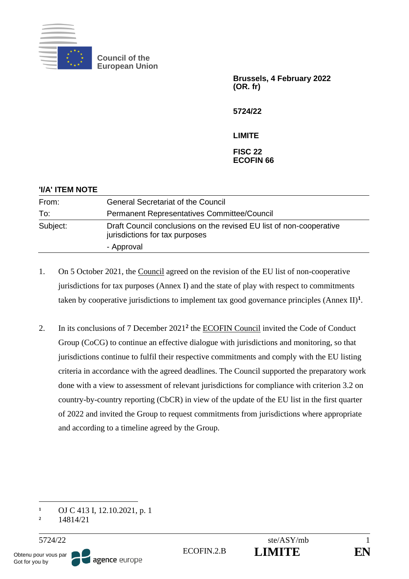

**Council of the European Union**

> **Brussels, 4 February 2022 (OR. fr)**

**5724/22**

**LIMITE**

**FISC 22 ECOFIN 66**

| 'I/A' ITEM NOTE |                                                                                                       |
|-----------------|-------------------------------------------------------------------------------------------------------|
| From:           | <b>General Secretariat of the Council</b>                                                             |
| To:             | <b>Permanent Representatives Committee/Council</b>                                                    |
| Subject:        | Draft Council conclusions on the revised EU list of non-cooperative<br>jurisdictions for tax purposes |
|                 | - Approval                                                                                            |

- 1. On 5 October 2021, the Council agreed on the revision of the EU list of non-cooperative jurisdictions for tax purposes (Annex I) and the state of play with respect to commitments taken by cooperative jurisdictions to implement tax good governance principles (Annex II)**<sup>1</sup>** .
- 2. In its conclusions of 7 December 2021<sup>2</sup> the ECOFIN Council invited the Code of Conduct Group (CoCG) to continue an effective dialogue with jurisdictions and monitoring, so that jurisdictions continue to fulfil their respective commitments and comply with the EU listing criteria in accordance with the agreed deadlines. The Council supported the preparatory work done with a view to assessment of relevant jurisdictions for compliance with criterion 3.2 on country-by-country reporting (CbCR) in view of the update of the EU list in the first quarter of 2022 and invited the Group to request commitments from jurisdictions where appropriate and according to a timeline agreed by the Group.

**<sup>1</sup>** OJ C 413 I, 12.10.2021, p. 1

**<sup>2</sup>** 14814/21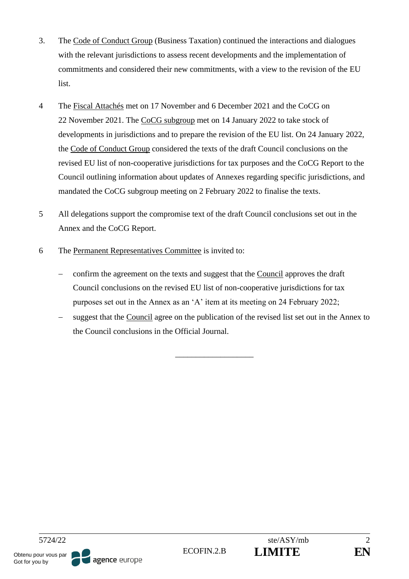- 3. The Code of Conduct Group (Business Taxation) continued the interactions and dialogues with the relevant jurisdictions to assess recent developments and the implementation of commitments and considered their new commitments, with a view to the revision of the EU list.
- 4 The Fiscal Attachés met on 17 November and 6 December 2021 and the CoCG on 22 November 2021. The CoCG subgroup met on 14 January 2022 to take stock of developments in jurisdictions and to prepare the revision of the EU list. On 24 January 2022, the Code of Conduct Group considered the texts of the draft Council conclusions on the revised EU list of non-cooperative jurisdictions for tax purposes and the CoCG Report to the Council outlining information about updates of Annexes regarding specific jurisdictions, and mandated the CoCG subgroup meeting on 2 February 2022 to finalise the texts.
- 5 All delegations support the compromise text of the draft Council conclusions set out in the Annex and the CoCG Report.
- 6 The Permanent Representatives Committee is invited to:
	- − confirm the agreement on the texts and suggest that the Council approves the draft Council conclusions on the revised EU list of non-cooperative jurisdictions for tax purposes set out in the Annex as an 'A' item at its meeting on 24 February 2022;
	- suggest that the Council agree on the publication of the revised list set out in the Annex to the Council conclusions in the Official Journal.

\_\_\_\_\_\_\_\_\_\_\_\_\_\_\_\_\_\_\_

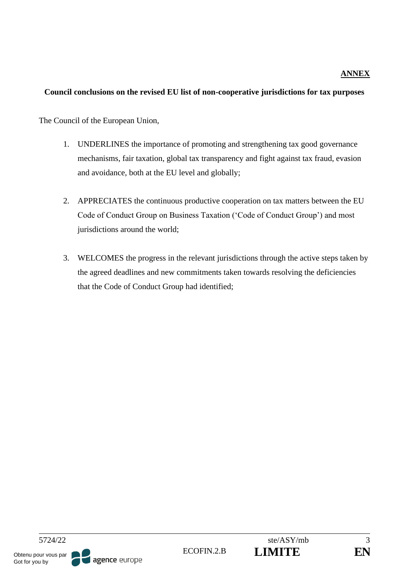# **Council conclusions on the revised EU list of non-cooperative jurisdictions for tax purposes**

The Council of the European Union,

- 1. UNDERLINES the importance of promoting and strengthening tax good governance mechanisms, fair taxation, global tax transparency and fight against tax fraud, evasion and avoidance, both at the EU level and globally;
- 2. APPRECIATES the continuous productive cooperation on tax matters between the EU Code of Conduct Group on Business Taxation ('Code of Conduct Group') and most jurisdictions around the world;
- 3. WELCOMES the progress in the relevant jurisdictions through the active steps taken by the agreed deadlines and new commitments taken towards resolving the deficiencies that the Code of Conduct Group had identified;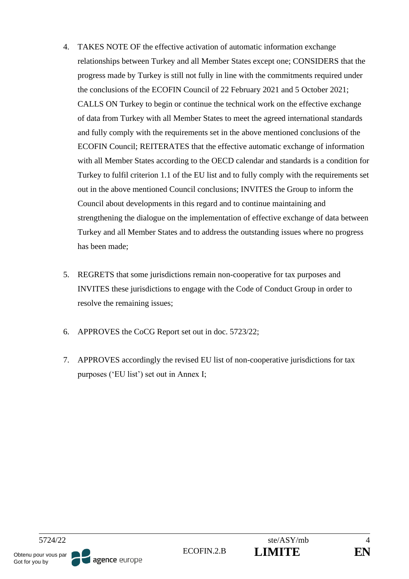- 4. TAKES NOTE OF the effective activation of automatic information exchange relationships between Turkey and all Member States except one; CONSIDERS that the progress made by Turkey is still not fully in line with the commitments required under the conclusions of the ECOFIN Council of 22 February 2021 and 5 October 2021; CALLS ON Turkey to begin or continue the technical work on the effective exchange of data from Turkey with all Member States to meet the agreed international standards and fully comply with the requirements set in the above mentioned conclusions of the ECOFIN Council; REITERATES that the effective automatic exchange of information with all Member States according to the OECD calendar and standards is a condition for Turkey to fulfil criterion 1.1 of the EU list and to fully comply with the requirements set out in the above mentioned Council conclusions; INVITES the Group to inform the Council about developments in this regard and to continue maintaining and strengthening the dialogue on the implementation of effective exchange of data between Turkey and all Member States and to address the outstanding issues where no progress has been made;
- 5. REGRETS that some jurisdictions remain non-cooperative for tax purposes and INVITES these jurisdictions to engage with the Code of Conduct Group in order to resolve the remaining issues;
- 6. APPROVES the CoCG Report set out in doc. 5723/22;
- 7. APPROVES accordingly the revised EU list of non-cooperative jurisdictions for tax purposes ('EU list') set out in Annex I;



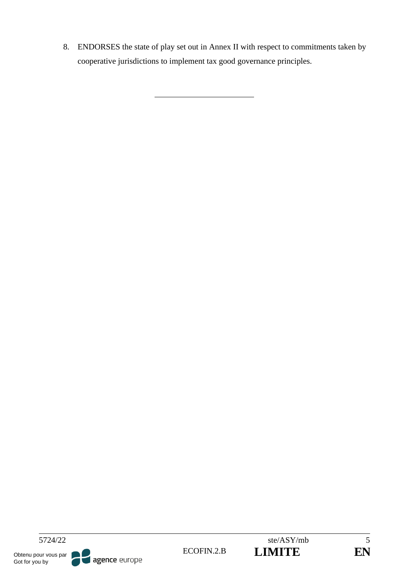8. ENDORSES the state of play set out in Annex II with respect to commitments taken by cooperative jurisdictions to implement tax good governance principles.







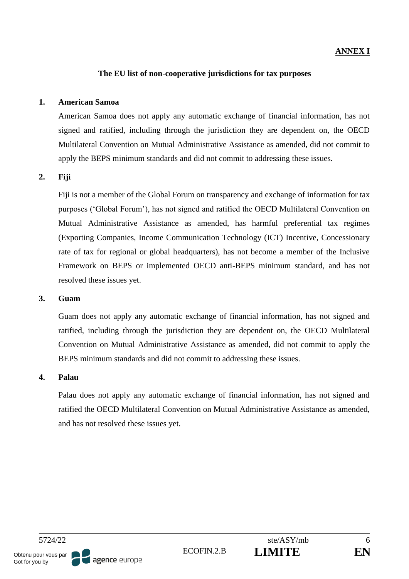# **ANNEX I**

### **The EU list of non-cooperative jurisdictions for tax purposes**

### **1. American Samoa**

American Samoa does not apply any automatic exchange of financial information, has not signed and ratified, including through the jurisdiction they are dependent on, the OECD Multilateral Convention on Mutual Administrative Assistance as amended, did not commit to apply the BEPS minimum standards and did not commit to addressing these issues.

### **2. Fiji**

Fiji is not a member of the Global Forum on transparency and exchange of information for tax purposes ('Global Forum'), has not signed and ratified the OECD Multilateral Convention on Mutual Administrative Assistance as amended, has harmful preferential tax regimes (Exporting Companies, Income Communication Technology (ICT) Incentive, Concessionary rate of tax for regional or global headquarters), has not become a member of the Inclusive Framework on BEPS or implemented OECD anti-BEPS minimum standard, and has not resolved these issues yet.

### **3. Guam**

Guam does not apply any automatic exchange of financial information, has not signed and ratified, including through the jurisdiction they are dependent on, the OECD Multilateral Convention on Mutual Administrative Assistance as amended, did not commit to apply the BEPS minimum standards and did not commit to addressing these issues.

### **4. Palau**

Palau does not apply any automatic exchange of financial information, has not signed and ratified the OECD Multilateral Convention on Mutual Administrative Assistance as amended, and has not resolved these issues yet.

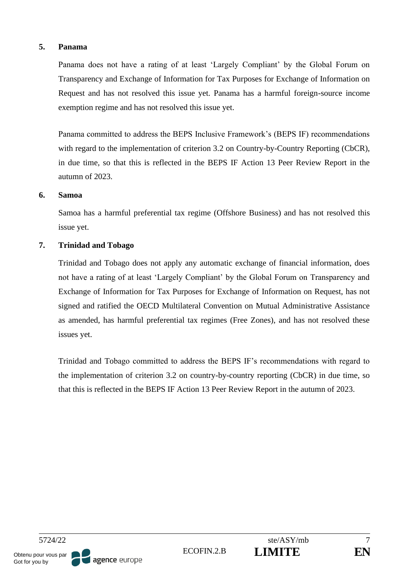### **5. Panama**

Panama does not have a rating of at least 'Largely Compliant' by the Global Forum on Transparency and Exchange of Information for Tax Purposes for Exchange of Information on Request and has not resolved this issue yet. Panama has a harmful foreign-source income exemption regime and has not resolved this issue yet.

Panama committed to address the BEPS Inclusive Framework's (BEPS IF) recommendations with regard to the implementation of criterion 3.2 on Country-by-Country Reporting (CbCR), in due time, so that this is reflected in the BEPS IF Action 13 Peer Review Report in the autumn of 2023.

### **6. Samoa**

Samoa has a harmful preferential tax regime (Offshore Business) and has not resolved this issue yet.

# **7. Trinidad and Tobago**

Trinidad and Tobago does not apply any automatic exchange of financial information, does not have a rating of at least 'Largely Compliant' by the Global Forum on Transparency and Exchange of Information for Tax Purposes for Exchange of Information on Request, has not signed and ratified the OECD Multilateral Convention on Mutual Administrative Assistance as amended, has harmful preferential tax regimes (Free Zones), and has not resolved these issues yet.

Trinidad and Tobago committed to address the BEPS IF's recommendations with regard to the implementation of criterion 3.2 on country-by-country reporting (CbCR) in due time, so that this is reflected in the BEPS IF Action 13 Peer Review Report in the autumn of 2023.



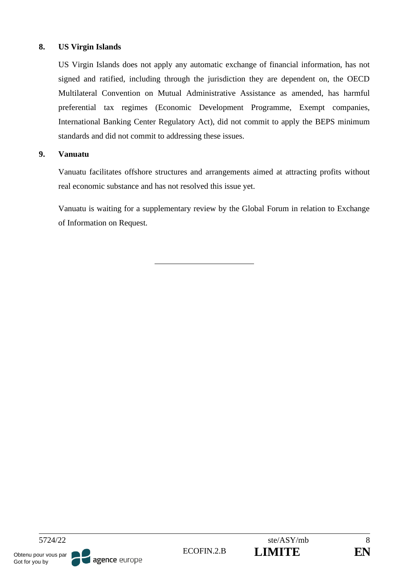# **8. US Virgin Islands**

US Virgin Islands does not apply any automatic exchange of financial information, has not signed and ratified, including through the jurisdiction they are dependent on, the OECD Multilateral Convention on Mutual Administrative Assistance as amended, has harmful preferential tax regimes (Economic Development Programme, Exempt companies, International Banking Center Regulatory Act), did not commit to apply the BEPS minimum standards and did not commit to addressing these issues.

# **9. Vanuatu**

Vanuatu facilitates offshore structures and arrangements aimed at attracting profits without real economic substance and has not resolved this issue yet.

Vanuatu is waiting for a supplementary review by the Global Forum in relation to Exchange of Information on Request.



agence europe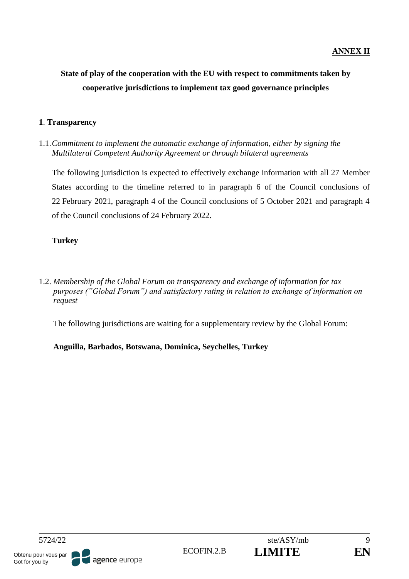# **ANNEX II**

# **State of play of the cooperation with the EU with respect to commitments taken by cooperative jurisdictions to implement tax good governance principles**

### **1**. **Transparency**

1.1.*Commitment to implement the automatic exchange of information, either by signing the Multilateral Competent Authority Agreement or through bilateral agreements*

The following jurisdiction is expected to effectively exchange information with all 27 Member States according to the timeline referred to in paragraph 6 of the Council conclusions of 22 February 2021, paragraph 4 of the Council conclusions of 5 October 2021 and paragraph 4 of the Council conclusions of 24 February 2022.

# **Turkey**

1.2. *Membership of the Global Forum on transparency and exchange of information for tax purposes ("Global Forum") and satisfactory rating in relation to exchange of information on request*

The following jurisdictions are waiting for a supplementary review by the Global Forum:

# **Anguilla, Barbados, Botswana, Dominica, Seychelles, Turkey**



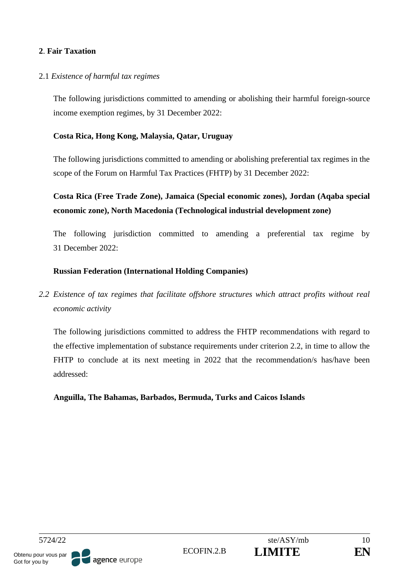# **2**. **Fair Taxation**

# 2.1 *Existence of harmful tax regimes*

The following jurisdictions committed to amending or abolishing their harmful foreign-source income exemption regimes, by 31 December 2022:

# **Costa Rica, Hong Kong, Malaysia, Qatar, Uruguay**

The following jurisdictions committed to amending or abolishing preferential tax regimes in the scope of the Forum on Harmful Tax Practices (FHTP) by 31 December 2022:

# **Costa Rica (Free Trade Zone), Jamaica (Special economic zones), Jordan (Aqaba special economic zone), North Macedonia (Technological industrial development zone)**

The following jurisdiction committed to amending a preferential tax regime by 31 December 2022:

# **Russian Federation (International Holding Companies)**

*2.2 Existence of tax regimes that facilitate offshore structures which attract profits without real economic activity*

The following jurisdictions committed to address the FHTP recommendations with regard to the effective implementation of substance requirements under criterion 2.2, in time to allow the FHTP to conclude at its next meeting in 2022 that the recommendation/s has/have been addressed:

**Anguilla, The Bahamas, Barbados, Bermuda, Turks and Caicos Islands**